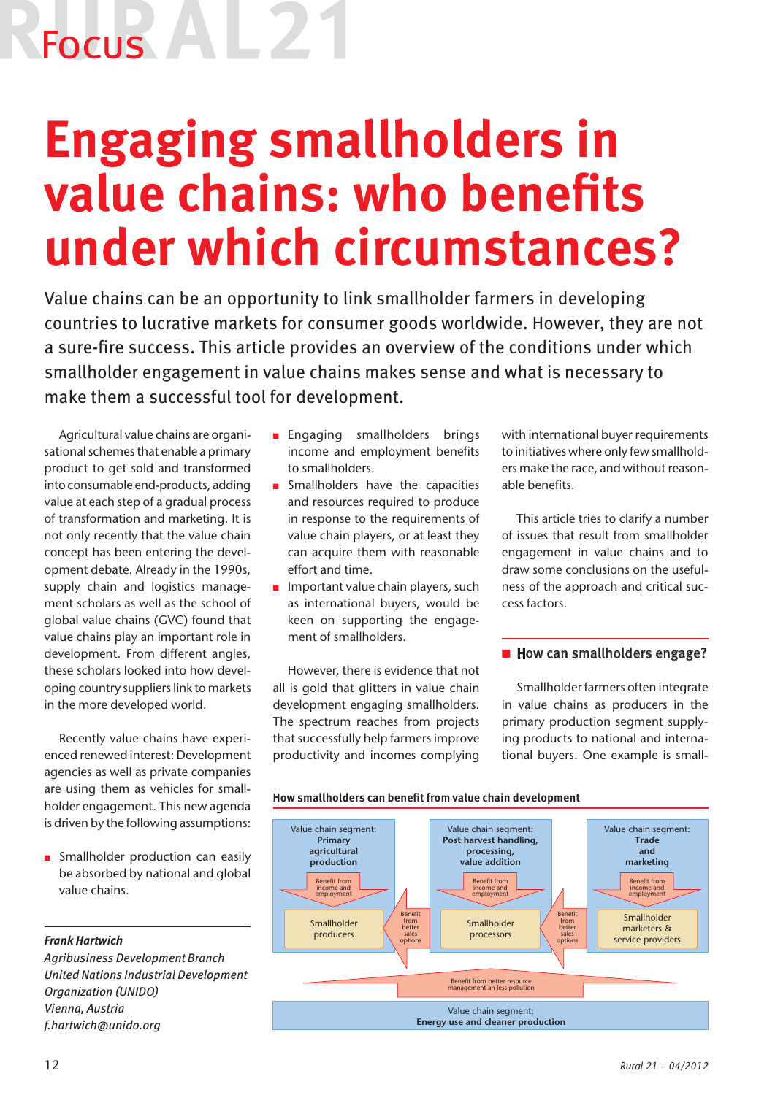## Focus

### **Engaging smallholders in value chains: who benefits under which circumstances?**

Value chains can be an opportunity to link smallholder farmers in developing countries to lucrative markets for consumer goods worldwide. However, they are not a sure-fire success. This article provides an overview of the conditions under which smallholder engagement in value chains makes sense and what is necessary to make them a successful tool for development.

Agricultural value chains are organisational schemes that enable a primary product to get sold and transformed into consumable end-products, adding value at each step of a gradual process of transformation and marketing. It is not only recently that the value chain concept has been entering the development debate. Already in the 1990s, supply chain and logistics management scholars as well as the school of global value chains (GVC) found that value chains play an important role in development. From different angles, these scholars looked into how developing country suppliers link to markets in the more developed world.

Recently value chains have experienced renewed interest: Development agencies as well as private companies are using them as vehicles for smallholder engagement. This new agenda is driven by the following assumptions:

**n** Smallholder production can easily be absorbed by national and global value chains.

### *Frank Hartwich*

*Agribusiness Development Branch United Nations Industrial Development Organization (UNIDO) Vienna, Austria f.hartwich@unido.org*

- **n** Engaging smallholders brings income and employment benefits to smallholders.
- $\blacksquare$  Smallholders have the capacities and resources required to produce in response to the requirements of value chain players, or at least they can acquire them with reasonable effort and time.
- $\blacksquare$  Important value chain players, such as international buyers, would be keen on supporting the engagement of smallholders.

However, there is evidence that not all is gold that glitters in value chain development engaging smallholders. The spectrum reaches from projects that successfully help farmers improve productivity and incomes complying with international buyer requirements to initiatives where only few smallholders make the race, and without reasonable benefits.

This article tries to clarify a number of issues that result from smallholder engagement in value chains and to draw some conclusions on the usefulness of the approach and critical success factors.

### $\blacksquare$  How can smallholders engage?

Smallholder farmers often integrate in value chains as producers in the primary production segment supplying products to national and international buyers. One example is small-



**How smallholders can benefit from value chain development**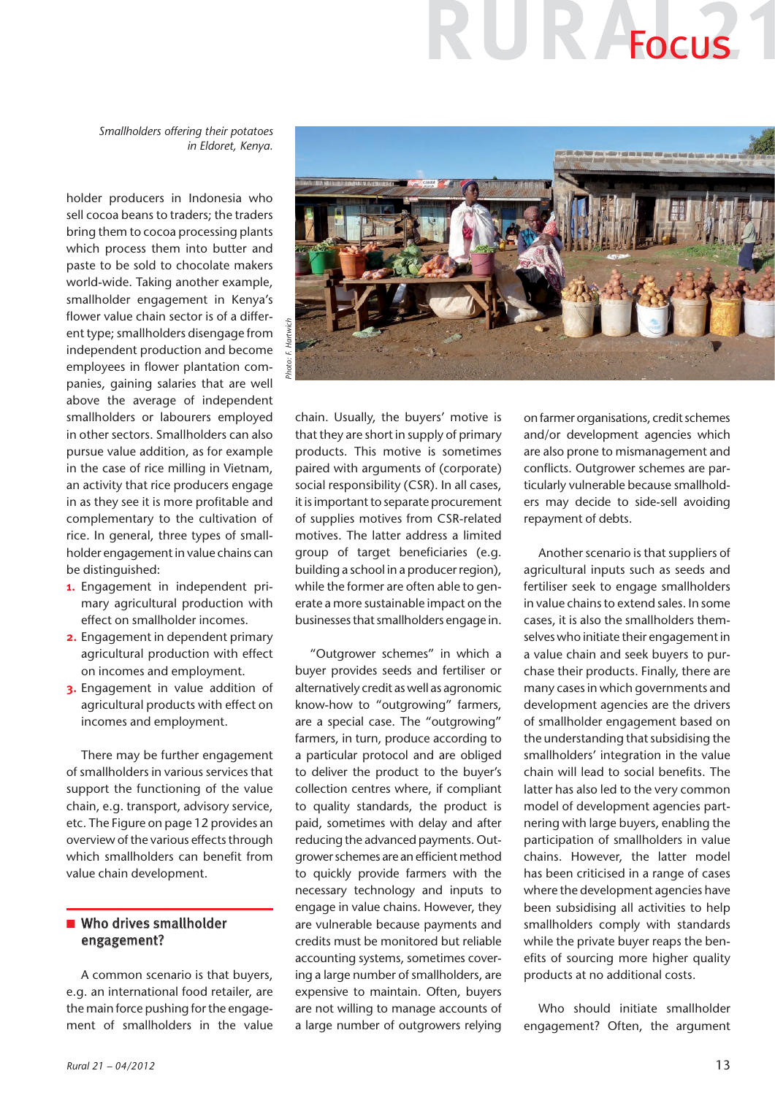# R<sup>A</sup>Focus

*Smallholders offering their potatoes in Eldoret, Kenya.*

holder producers in Indonesia who sell cocoa beans to traders; the traders bring them to cocoa processing plants which process them into butter and paste to be sold to chocolate makers world-wide. Taking another example, smallholder engagement in Kenya's flower value chain sector is of a different type; smallholders disengage from independent production and become employees in flower plantation companies, gaining salaries that are well above the average of independent smallholders or labourers employed in other sectors. Smallholders can also pursue value addition, as for example in the case of rice milling in Vietnam, an activity that rice producers engage in as they see it is more profitable and complementary to the cultivation of rice. In general, three types of smallholder engagement in value chains can be distinguished:

- **1.** Engagement in independent primary agricultural production with effect on smallholder incomes.
- **2.** Engagement in dependent primary agricultural production with effect on incomes and employment.
- **3.** Engagement in value addition of agricultural products with effect on incomes and employment.

There may be further engagement of smallholders in various services that support the functioning of the value chain, e.g. transport, advisory service, etc. The Figure on page 12 provides an overview of the various effects through which smallholders can benefit from value chain development.

### $\blacksquare$  Who drives smallholder engagement?

A common scenario is that buyers, e.g. an international food retailer, are the main force pushing for the engagement of smallholders in the value



chain. Usually, the buyers' motive is that they are short in supply of primary products. This motive is sometimes paired with arguments of (corporate) social responsibility (CSR). In all cases, it is important to separate procurement of supplies motives from CSR-related motives. The latter address a limited group of target beneficiaries (e.g. building a school in a producer region), while the former are often able to generate a more sustainable impact on the businesses that smallholders engage in.

"Outgrower schemes" in which a buyer provides seeds and fertiliser or alternatively credit as well as agronomic know-how to "outgrowing" farmers, are a special case. The "outgrowing" farmers, in turn, produce according to a particular protocol and are obliged to deliver the product to the buyer's collection centres where, if compliant to quality standards, the product is paid, sometimes with delay and after reducing the advanced payments. Outgrower schemes are an efficient method to quickly provide farmers with the necessary technology and inputs to engage in value chains. However, they are vulnerable because payments and credits must be monitored but reliable accounting systems, sometimes covering a large number of smallholders, are expensive to maintain. Often, buyers are not willing to manage accounts of a large number of outgrowers relying

on farmer organisations, credit schemes and/or development agencies which are also prone to mismanagement and conflicts. Outgrower schemes are particularly vulnerable because smallholders may decide to side-sell avoiding repayment of debts.

Another scenario is that suppliers of agricultural inputs such as seeds and fertiliser seek to engage smallholders in value chains to extend sales. In some cases, it is also the smallholders themselves who initiate their engagement in a value chain and seek buyers to purchase their products. Finally, there are many cases in which governments and development agencies are the drivers of smallholder engagement based on the understanding that subsidising the smallholders' integration in the value chain will lead to social benefits. The latter has also led to the very common model of development agencies partnering with large buyers, enabling the participation of smallholders in value chains. However, the latter model has been criticised in a range of cases where the development agencies have been subsidising all activities to help smallholders comply with standards while the private buyer reaps the benefits of sourcing more higher quality products at no additional costs.

Who should initiate smallholder engagement? Often, the argument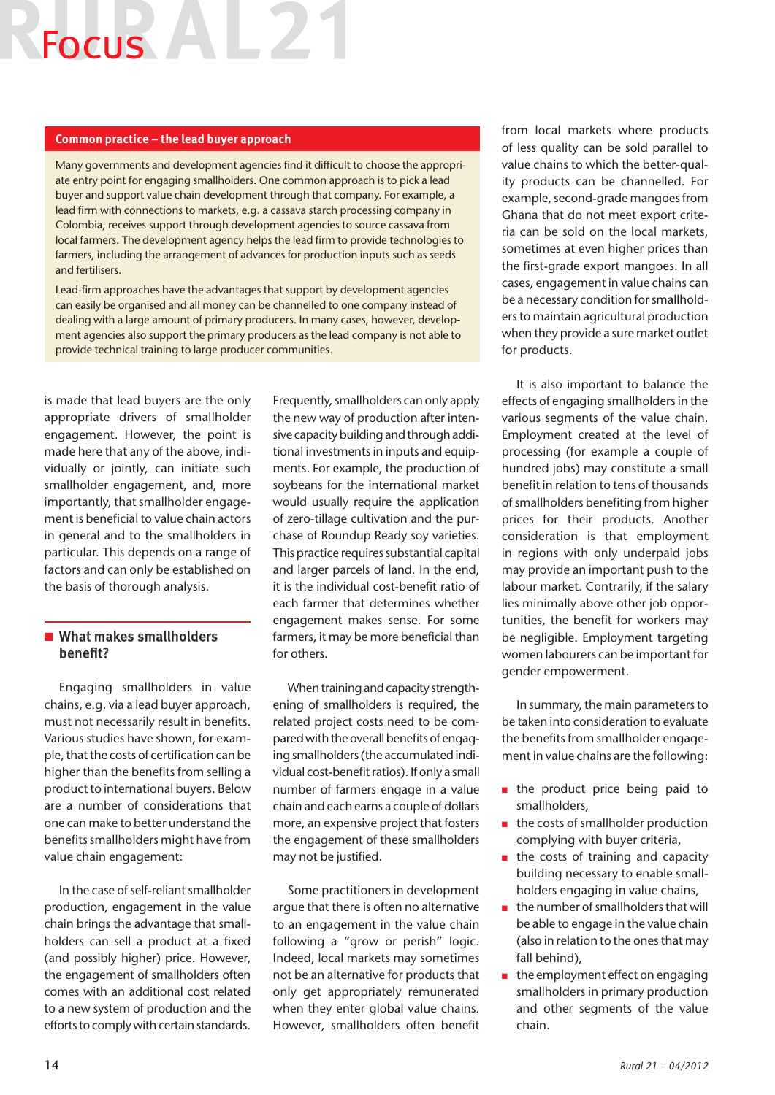### Focus AL2

#### **Common practice – the lead buyer approach**

Many governments and development agencies find it difficult to choose the appropriate entry point for engaging smallholders. One common approach is to pick a lead buyer and support value chain development through that company. For example, a lead firm with connections to markets, e.g. a cassava starch processing company in Colombia, receives support through development agencies to source cassava from local farmers. The development agency helps the lead firm to provide technologies to farmers, including the arrangement of advances for production inputs such as seeds and fertilisers.

Lead-firm approaches have the advantages that support by development agencies can easily be organised and all money can be channelled to one company instead of dealing with a large amount of primary producers. In many cases, however, development agencies also support the primary producers as the lead company is not able to provide technical training to large producer communities.

is made that lead buyers are the only appropriate drivers of smallholder engagement. However, the point is made here that any of the above, individually or jointly, can initiate such smallholder engagement, and, more importantly, that smallholder engagement is beneficial to value chain actors in general and to the smallholders in particular. This depends on a range of factors and can only be established on the basis of thorough analysis.

### $\blacksquare$  What makes smallholders benefit?

Engaging smallholders in value chains, e.g. via a lead buyer approach, must not necessarily result in benefits. Various studies have shown, for example, that the costs of certification can be higher than the benefits from selling a product to international buyers. Below are a number of considerations that one can make to better understand the benefits smallholders might have from value chain engagement:

In the case of self-reliant smallholder production, engagement in the value chain brings the advantage that smallholders can sell a product at a fixed (and possibly higher) price. However, the engagement of smallholders often comes with an additional cost related to a new system of production and the efforts to comply with certain standards.

Frequently, smallholders can only apply the new way of production after intensive capacity building and through additional investments in inputs and equipments. For example, the production of soybeans for the international market would usually require the application of zero-tillage cultivation and the purchase of Roundup Ready soy varieties. This practice requires substantial capital and larger parcels of land. In the end, it is the individual cost-benefit ratio of each farmer that determines whether engagement makes sense. For some farmers, it may be more beneficial than for others.

When training and capacity strengthening of smallholders is required, the related project costs need to be compared with the overall benefits of engaging smallholders (the accumulated individual cost-benefit ratios). If only a small number of farmers engage in a value chain and each earns a couple of dollars more, an expensive project that fosters the engagement of these smallholders may not be justified.

Some practitioners in development argue that there is often no alternative to an engagement in the value chain following a "grow or perish" logic. Indeed, local markets may sometimes not be an alternative for products that only get appropriately remunerated when they enter global value chains. However, smallholders often benefit from local markets where products of less quality can be sold parallel to value chains to which the better-quality products can be channelled. For example, second-grade mangoes from Ghana that do not meet export criteria can be sold on the local markets, sometimes at even higher prices than the first-grade export mangoes. In all cases, engagement in value chains can be a necessary condition for smallholders to maintain agricultural production when they provide a sure market outlet for products.

It is also important to balance the effects of engaging smallholders in the various segments of the value chain. Employment created at the level of processing (for example a couple of hundred jobs) may constitute a small benefit in relation to tens of thousands of smallholders benefiting from higher prices for their products. Another consideration is that employment in regions with only underpaid jobs may provide an important push to the labour market. Contrarily, if the salary lies minimally above other job opportunities, the benefit for workers may be negligible. Employment targeting women labourers can be important for gender empowerment.

In summary, the main parameters to be taken into consideration to evaluate the benefits from smallholder engagement in value chains are the following:

- $\blacksquare$  the product price being paid to smallholders,
- $\blacksquare$  the costs of smallholder production complying with buyer criteria,
- $\blacksquare$  the costs of training and capacity building necessary to enable smallholders engaging in value chains,
- $\blacksquare$  the number of smallholders that will be able to engage in the value chain (also in relation to the ones that may fall behind),
- $\blacksquare$  the employment effect on engaging smallholders in primary production and other segments of the value chain.